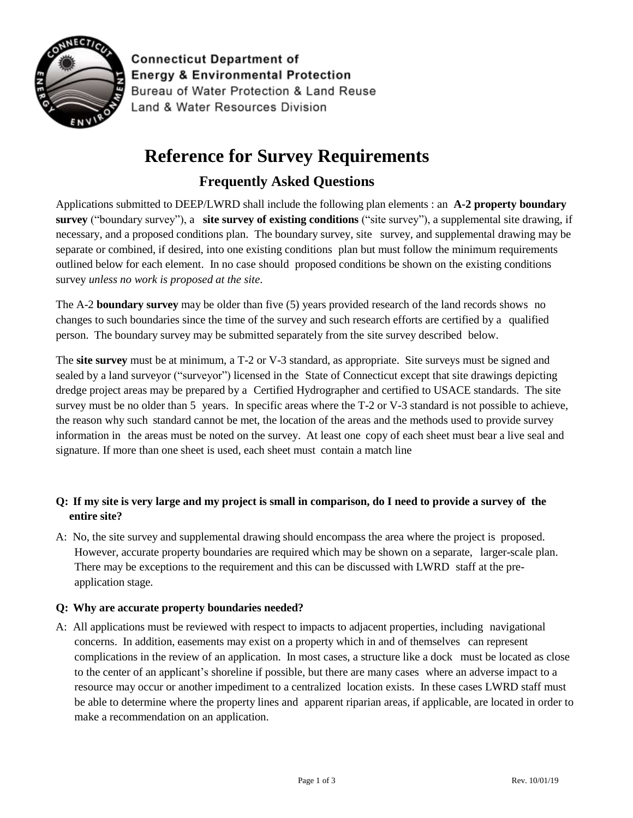

**Connecticut Department of Energy & Environmental Protection** Bureau of Water Protection & Land Reuse Land & Water Resources Division

# **Reference for Survey Requirements**

# **Frequently Asked Questions**

Applications submitted to DEEP/LWRD shall include the following plan elements : an **A-2 property boundary survey** ("boundary survey"), a **site survey of existing conditions** ("site survey"), a supplemental site drawing, if necessary, and a proposed conditions plan. The boundary survey, site survey, and supplemental drawing may be separate or combined, if desired, into one existing conditions plan but must follow the minimum requirements outlined below for each element. In no case should proposed conditions be shown on the existing conditions survey *unless no work is proposed at the site*.

The A-2 **boundary survey** may be older than five (5) years provided research of the land records shows no changes to such boundaries since the time of the survey and such research efforts are certified by a qualified person. The boundary survey may be submitted separately from the site survey described below.

The **site survey** must be at minimum, a T-2 or V-3 standard, as appropriate. Site surveys must be signed and sealed by a land surveyor ("surveyor") licensed in the State of Connecticut except that site drawings depicting dredge project areas may be prepared by a Certified Hydrographer and certified to USACE standards. The site survey must be no older than 5 years. In specific areas where the T-2 or V-3 standard is not possible to achieve, the reason why such standard cannot be met, the location of the areas and the methods used to provide survey information in the areas must be noted on the survey. At least one copy of each sheet must bear a live seal and signature. If more than one sheet is used, each sheet must contain a match line

## **Q: If my site is very large and my project is small in comparison, do I need to provide a survey of the entire site?**

A: No, the site survey and supplemental drawing should encompass the area where the project is proposed. However, accurate property boundaries are required which may be shown on a separate, larger-scale plan. There may be exceptions to the requirement and this can be discussed with LWRD staff at the preapplication stage.

### **Q: Why are accurate property boundaries needed?**

A: All applications must be reviewed with respect to impacts to adjacent properties, including navigational concerns. In addition, easements may exist on a property which in and of themselves can represent complications in the review of an application. In most cases, a structure like a dock must be located as close to the center of an applicant's shoreline if possible, but there are many cases where an adverse impact to a resource may occur or another impediment to a centralized location exists. In these cases LWRD staff must be able to determine where the property lines and apparent riparian areas, if applicable, are located in order to make a recommendation on an application.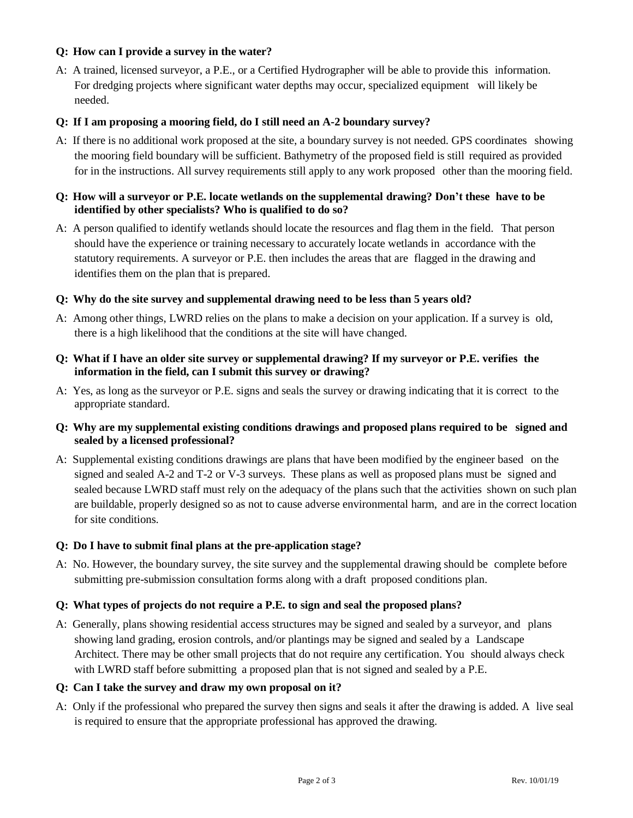#### **Q: How can I provide a survey in the water?**

A: A trained, licensed surveyor, a P.E., or a Certified Hydrographer will be able to provide this information. For dredging projects where significant water depths may occur, specialized equipment will likely be needed.

#### **Q: If I am proposing a mooring field, do I still need an A-2 boundary survey?**

A: If there is no additional work proposed at the site, a boundary survey is not needed. GPS coordinates showing the mooring field boundary will be sufficient. Bathymetry of the proposed field is still required as provided for in the instructions. All survey requirements still apply to any work proposed other than the mooring field.

#### **Q: How will a surveyor or P.E. locate wetlands on the supplemental drawing? Don't these have to be identified by other specialists? Who is qualified to do so?**

A: A person qualified to identify wetlands should locate the resources and flag them in the field. That person should have the experience or training necessary to accurately locate wetlands in accordance with the statutory requirements. A surveyor or P.E. then includes the areas that are flagged in the drawing and identifies them on the plan that is prepared.

#### **Q: Why do the site survey and supplemental drawing need to be less than 5 years old?**

A: Among other things, LWRD relies on the plans to make a decision on your application. If a survey is old, there is a high likelihood that the conditions at the site will have changed.

#### **Q: What if I have an older site survey or supplemental drawing? If my surveyor or P.E. verifies the information in the field, can I submit this survey or drawing?**

A: Yes, as long as the surveyor or P.E. signs and seals the survey or drawing indicating that it is correct to the appropriate standard.

#### **Q: Why are my supplemental existing conditions drawings and proposed plans required to be signed and sealed by a licensed professional?**

A: Supplemental existing conditions drawings are plans that have been modified by the engineer based on the signed and sealed A-2 and T-2 or V-3 surveys. These plans as well as proposed plans must be signed and sealed because LWRD staff must rely on the adequacy of the plans such that the activities shown on such plan are buildable, properly designed so as not to cause adverse environmental harm, and are in the correct location for site conditions.

#### **Q: Do I have to submit final plans at the pre-application stage?**

A: No. However, the boundary survey, the site survey and the supplemental drawing should be complete before submitting pre-submission consultation forms along with a draft proposed conditions plan.

#### **Q: What types of projects do not require a P.E. to sign and seal the proposed plans?**

A: Generally, plans showing residential access structures may be signed and sealed by a surveyor, and plans showing land grading, erosion controls, and/or plantings may be signed and sealed by a Landscape Architect. There may be other small projects that do not require any certification. You should always check with LWRD staff before submitting a proposed plan that is not signed and sealed by a P.E.

#### **Q: Can I take the survey and draw my own proposal on it?**

A: Only if the professional who prepared the survey then signs and seals it after the drawing is added. A live seal is required to ensure that the appropriate professional has approved the drawing.